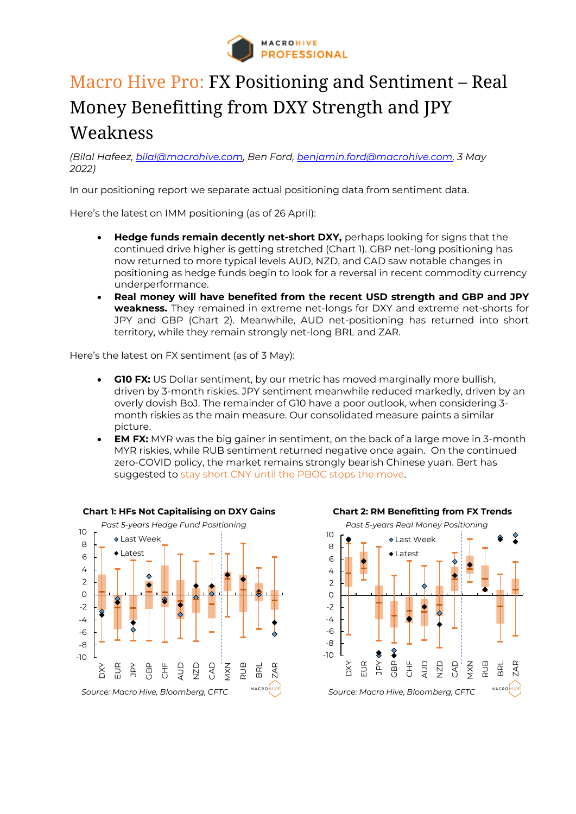

## Macro Hive Pro: FX Positioning and Sentiment – Real Money Benefitting from DXY Strength and JPY Weakness

*(Bilal Hafeez, bilal@macrohive.com, Ben Ford, [benjamin.ford@macrohive.com,](mailto:benjamin.ford@macrohive.com) 3 May 2022)*

In our positioning report we separate actual positioning data from sentiment data.

Here's the latest on IMM positioning (as of 26 April):

- **Hedge funds remain decently net-short DXY,** perhaps looking for signs that the continued drive higher is getting stretched (Chart 1). GBP net-long positioning has now returned to more typical levels AUD, NZD, and CAD saw notable changes in positioning as hedge funds begin to look for a reversal in recent commodity currency underperformance.
- **Real money will have benefited from the recent USD strength and GBP and JPY weakness.** They remained in extreme net-longs for DXY and extreme net-shorts for JPY and GBP (Chart 2). Meanwhile, AUD net-positioning has returned into short territory, while they remain strongly net-long BRL and ZAR.

Here's the latest on FX sentiment (as of 3 May):

- **G10 FX:** US Dollar sentiment, by our metric has moved marginally more bullish, driven by 3-month riskies. JPY sentiment meanwhile reduced markedly, driven by an overly dovish BoJ. The remainder of G10 have a poor outlook, when considering 3 month riskies as the main measure. Our consolidated measure paints a similar picture.
- **EM FX:** MYR was the big gainer in sentiment, on the back of a large move in 3-month MYR riskies, while RUB sentiment returned negative once again. On the continued zero-COVID policy, the market remains strongly bearish Chinese yuan. Bert has suggested to [stay short CNY until the PBOC stops the move.](https://macrohive.com/views-analysis/stay-short-cny-until-pboc-stops-the-move/)